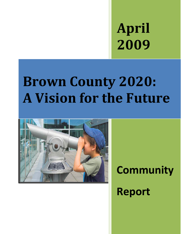**April 2009**

# **Brown County 2020: A Vision for the Future**



## **Community**

## **Report**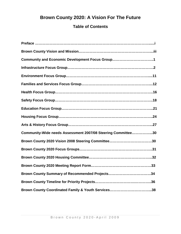## **Brown County 2020: A Vision For The Future**

## **Table of Contents**

| Community and Economic Development Focus Group1              |
|--------------------------------------------------------------|
|                                                              |
|                                                              |
|                                                              |
|                                                              |
|                                                              |
|                                                              |
|                                                              |
|                                                              |
| Community-Wide needs Assessment 2007/08 Steering Committee30 |
|                                                              |
|                                                              |
|                                                              |
|                                                              |
| Brown County Summary of Recommended Projects34               |
|                                                              |
|                                                              |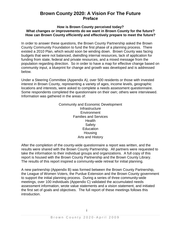## **Brown County 2020: A Vision For The Future Preface**

#### **How is Brown County perceived today? What changes or improvements do we want in Brown County for the future? How can Brown County efficiently and effectively prepare to meet the future?**

In order to answer these questions, the Brown County Partnership asked the Brown County Community Foundation to fund the first phase of a planning process. There existed a 2010 Plan, which would soon be winding down. Brown County was facing budgets that were not balanced, dwindling internal resources, lack of application for funding from state, federal and private resources, and a mixed message from the population regarding direction. So in order to have a map for effective change based on community input, a blueprint for change and growth was developed and is addressed below.

Under a Steering Committee (Appendix A), over 500 residents or those with invested interest in Brown County, representing a variety of ages, income levels, geographic locations and interests, were asked to complete a needs assessment questionnaire. Some respondents completed the questionnaire on their own; others were interviewed. Information was gathered in the areas of:

#### Community and Economic Development **Infrastructure Environment** Families and Services **Health** Safety **Education Housing** Arts and History

After the completion of the county-wide questionnaire a report was written, and the results were shared with the Brown County Partnership. All partners were requested to take the information to their individual groups and organizations. A full copy of this report is housed with the Brown County Partnership and the Brown County Library. The results of this report inspired a community-wide retreat for initial planning.

A new partnership (Appendix B) was formed between the Brown County Partnership, the League of Women Voters, the Purdue Extension and the Brown County government to support the initial planning process. During a series of three community-wide meetings, over 100 individuals (Appendix C) validated the accumulated needs assessment information, wrote value statements and a vision statement, and initiated the first set of goals and objectives. The full report of these meetings follows this introduction.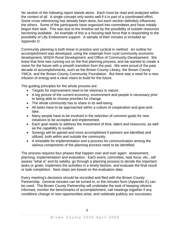No section of the following report stands alone. Each must be read and analyzed within the context of all. A single concept only works well if it is part of a coordinated effort. Some cross referencing has already been done, but each section definitely influences the others. Some of the participants have organized into committees and have initially begun their task. This was due to the timeline set by the possibility of outside resources becoming available. An example of this is a housing task force that is responding to the possibility of Lilly Endowment support. A sample of their minutes is included as Appendix D.

Community planning is both linear in practice and cyclical in method. An outline for accomplishment was developed, using the materials from rural community economic development, WSDA Rural Development, and Office of Community Development. We knew that time was running out on the first planning process, and we wanted to create a vision for the future with a smooth transition from the past. We were proud of the past decade of accomplishments, such as the Brown County Library, the Brown County YMCA, and the Brown County Community Foundation. But there was a need for a new infusion of energy and a clear vision to build for the future.

The guiding principles for the whole process are:

- Targets for improvement need to be visionary in nature.
- A big picture of the current economy, environment and people is necessary prior to being able to choose priorities for change.
- The whole community has to share in its well-being.
- All tasks have to be approached within a culture of cooperation and give-andtake.
- Many people have to be involved in the selection of common goals for new initiatives to be accepted and implemented.
- Each goal needs to address the investment of time, talent and resources, as well as the capability to sustain.
- Synergy will be gained and more accomplished if partners are identified and utilized, both within and outside the community.
- A timetable for implementation and a process for communication among the various components of the planning process need to be identified.

The process requires four phases that happen over and over again: assessment, planning, implementation and evaluation. Each event, committee, task force, etc., will assess "what is" and its validity, go through a planning process to decide the important tasks or goals, implement the activities in a timely fashion, and evaluate the final result or task completion. Next steps are based on the evaluation data.

Every meeting's decisions should be recorded and filed with the Brown County Partnership. General minutes can be turned in, or the minutes form (Appendix E) can be used. The Brown County Partnership will undertake the task of keeping citizens informed, monitor the benchmarks of accomplishment, call meetings together if any conditions change or new opportunities arise, and celebrate publicly our successes.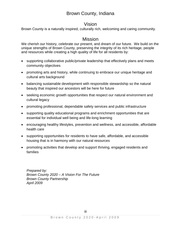## Brown County, Indiana

## Vision

Brown County is a naturally inspired, culturally rich, welcoming and caring community.

## **Mission**

We cherish our history, celebrate our present, and dream of our future. We build on the unique strengths of Brown County, preserving the integrity of its rich heritage, people and resources while creating a high quality of life for all residents by:

- supporting collaborative public/private leadership that effectively plans and meets community objectives
- promoting arts and history, while continuing to embrace our unique heritage and cultural arts background
- balancing sustainable development with responsible stewardship so the natural beauty that inspired our ancestors will be here for future
- seeking economic growth opportunities that respect our natural environment and cultural legacy
- promoting professional, dependable safety services and public infrastructure
- supporting quality educational programs and enrichment opportunities that are essential for individual well being and life-long learning
- encouraging healthy lifestyles, prevention and wellness, and accessible, affordable health care
- supporting opportunities for residents to have safe, affordable, and accessible housing that is in harmony with our natural resources
- promoting activities that develop and support thriving, engaged residents and families

*Prepared by: Brown County 2020 – A Vision For The Future Brown County Partnership April 2009*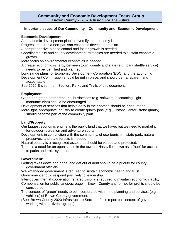#### **Community and Economic Development Focus Group Brown County 2020 – A Vision For The Future**

#### **Important Issues of Our Community – Community and Economic Development**

#### **Economic Development:**

An economic development plan to diversify the economy is paramount.

Progress requires a non-partisan economic development plan.

A comprehensive plan to control and foster growth is needed.

Coordinated city and county development strategies are needed to sustain economic growth.

More focus on environmental economics is needed.

A greater economic synergy between town, county and state (e.g., park shuttle service) needs to be identified and planned.

Long range plans for Economic Development Corporation (EDC) and the Economic Development Commission should be put in place, and should be transparent and accountable.

See 2020 Environment Section, Parks and Trails of this document.

#### **Employment:**

Clean and green entrepreneurial businesses (e.g. software, accounting, light manufacturing) should be encouraged.

Development of services that help elderly in their homes should be encouraged. More light, appropriate industry to create quality jobs (e.g., History Center, stone quarry) should become part of the community plan.

#### **Land/Property:**

Our biggest economic engine is the public land that we have, but we need to market it for outdoor recreation and adventure sports.

Development, in conjunction with the community, of eco-tourism in state park, nature preserves, and state forests is needed.

Natural beauty is a recognized asset that should be valued and protected.

There is a need for an open space in the town of Nashville known as a "hub" for access to parks and trails systems.

#### **Government:**

Getting taxes down and done, and get out of debt should be a priority for county government officials.

Well-managed government is required to sustain economic health and trust.

Government should respond positively to leadership.

Inter-governmental cooperation (shared vision) is required to maintain economic viability. Compensation for public lands/acreage in Brown County and for not-for-profits should be considered.

The concept of "green" needs to be incorporated within the planning and services (e.g.., vehicles) of Brown County government.

(See Brown County 2020 Infrastructure Section of this report for concept of government working with a citizen's group.)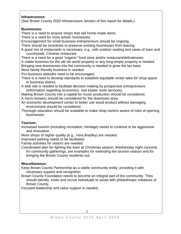#### **Infrastructure:**

(See Brown County 2020 Infrastructure Section of this report for details.)

#### **Businesses:**

There is a need to acquire shops that sell home-made items.

There is a need for more artistic businesses.

Encouragement for small business entrepreneurs should be ongoing.

There should be incentives to preserve existing businesses from leaving.

A good mix of restaurants is necessary, e.g., with outdoor seating and views of town and countryside, Chinese restaurant.

There is a need for a good "organic" food store and/or restaurant/delicatessen. A viable business for the old ski world property or any long-empty property is needed. Bringing new businesses into the community is needed to grow the tax base. More family-friendly business is needed.

Pro-business attitudes need to be encouraged.

There is a need to develop standards to establish equitable rental rates for shop space in business district.

A web site is needed to facilitate decision making by prospective entrepreneurs (information regarding economics, real estate, tools services).

Making Brown County into a capital for music production should be considered. A micro brewery should be considered for the downtown area.

An economic development center to better use wood product without damaging environment should be considered.

Thorough education should be available to make shop owners aware of risks of opening businesses.

#### **Tourism:**

Increased tourism (including recreation, heritage) needs to continue to be aggressive and innovative.

More shops of higher quality (e.g., Vera Bradley) are needed.

Improved parking needs to be facilitated.

Family activities for visitors are needed.

Coordinated plan for lighting the town at Christmas season, Wednesday night concerts for community gatherings, are examples for extending the tourism season and for bringing the Brown County residents out.

#### **Miscellaneous:**

Keep Brown County Partnership as a viable community entity, providing it with necessary support and recognition.

Brown County Foundation needs to become an integral part of the community. They should identify, invite and recruit individuals to assist with philanthropic initiatives of Brown County.

Focused leadership and value support is needed.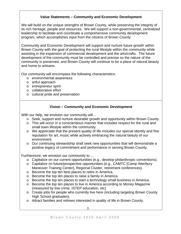#### **Value Statements – Community and Economic Development**

We will build on the unique strengths of Brown County, while preserving the integrity of its rich heritage, people and resources. We will support a non-governmental, centralized leadership to facilitate and coordinate a comprehensive community development program, which accomplishes input from the citizens of Brown County.

Community and Economic Development will support and nurture future growth within Brown County with the goal of protecting the rural lifestyle within the community while assisting in the expansion of commercial development and the arts/crafts. The future development of the community must be controlled and precise so the nature of the community is preserved, and Brown County will continue to be a place of natural beauty and home to artisans.

Our community will encompass the following characteristics:

- o environmental awareness
- o artful approach
- o entrepreneur spirit
- o collaborative effort
- o cultural pride and preservation

#### **Vision – Community and Economic Development**

With our help, we envision our community will...

- o Seek, support and nurture desirable growth and opportunity within Brown County.
- o This will occur in a conscientious manner that includes respect for the rural and small town lifestyle within the community.
- o We appreciate that the present quality of life includes our special identity and fine reputation for art, music while actively embracing the natural beauty of our environment.
- $\circ$  Our continuing stewardship shall seek new opportunities that will demonstrate a positive legacy of commitment and performance in serving Brown County.

Furthermore, we envision our community to …

- o Capitalize on our current opportunities (e.g., develop philanthropic conventions).
- o Capitalize on future/prospective opportunities (e.g., CAMTC [Camp Atterbury Maneuver Training Center], Regional Cluster, retirement conferences).
- o Become the top ten best places to retire in America.
- o Become the top ten places to raise a family in America.
- o Become the top ten places to start a technology small business in America.
- o Become the top ten places to live in America according to Money Magazine (measured by low crime, ISTEP education, etc)
- o Create jobs for people who currently live here (including targeting Brown County High School graduates).
- o Attract families and retirees interested in quality of life in Brown County.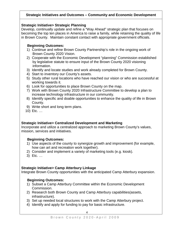#### **Strategic Initiatives and Outcomes – Community and Economic Development**

#### **Strategic Initiative> Strategic Planning**

Develop, continually update and refine a "Way Ahead" strategic plan that focuses on becoming the top ten places in America to raise a family, while retaining the quality of life in Brown County. Maintain constant contact with appropriate government officials.

#### **Beginning Outcomes:**

- 1) Continue and refine Brown County Partnership's role in the ongoing work of Brown County 2020 Vision.
- 2) Cooperate with the Economic Development "planning" Commission established by legislative statute to ensure input of the Brown County 2020 visioning information.
- 3) Identify and locate studies and work already completed for Brown County.
- 4) Start to inventory our County's assets.
- 5) Study other rural locations who have reached our vision or who are successful at working towards it.
- 6) Look for opportunities to place Brown County on the map.
- 7) Work with Brown County 2020 Infrastructure Committee to develop a plan to increase technology infrastructure in our community.
- 8) Identify specific and doable opportunities to enhance the quality of life in Brown County.
- 9) Write short and long term plans.
- 10) Etc. …

#### **Strategic Initiative> Centralized Development and Marketing**

Incorporate and utilize a centralized approach to marketing Brown County's values, mission, services and initiatives.

#### **Beginning Outcomes:**

- 1) Use aspects of the county to synergize growth and improvement (for example, how can art and recreation work together).
- 2) Consider and implement a variety of marketing tools (e.g. kiosk).
- 3) Etc. …

#### **Strategic Initiative> Camp Atterbury Linkage**

Integrate Brown County opportunities with the anticipated Camp Atterbury expansion.

#### **Beginning Outcomes:**

- 1) Subset a Camp Atterbury Committee within the Economic Development Commission.
- 2) Research both Brown County and Camp Atterbury capabilities(assets, infrastructure).
- 3) Set up needed local structures to work with the Camp Atterbury project.
- 4) Identify and apply for funding to pay for basic infrastructure.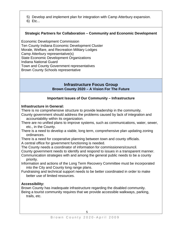5) Develop and implement plan for integration with Camp Atterbury expansion.

6) Etc...

#### **Strategic Partners for Collaboration – Community and Economic Development**

Economic Development Commission Ten County Indiana Economic Development Cluster Morale, Welfare, and Recreation Military Lodges Camp Atterbury representative(s) State Economic Development Organizations Indiana National Guard Town and County Government representatives Brown County Schools representative

#### **Infrastructure Focus Group Brown County 2020 – A Vision For The Future**

#### **Important Issues of Our Community – Infrastructure**

#### **Infrastructure in General:**

There is no comprehensive structure to provide leadership in the community.

County government should address the problems caused by lack of integration and accountability within its organization.

- There are no unified plans to improve systems, such as communications, water, sewer, etc., in the County.
- There is a need to develop a viable, long term, comprehensive plan updating zoning ordinances.
- There is a need for cooperative planning between town and county officials.
- A central office for government functioning is needed.

The County needs a coordinator of information for commissioners/council.

County government needs to identify and respond to issues in a transparent manner.

Communication strategies with and among the general public needs to be a county priority.

Information and actions of the Long Term Recovery Committee must be incorporated into the City and County long range plans.

Fundraising and technical support needs to be better coordinated in order to make better use of limited resources.

#### **Accessibility:**

Brown County has inadequate infrastructure regarding the disabled community. Being a tourist community requires that we provide accessible walkways, parking, trails, etc.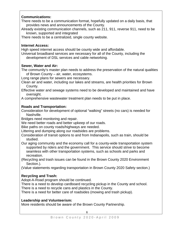#### **Communications:**

There needs to be a communication format, hopefully updated on a daily basis, that provides news and announcements of the County.

Already existing communication channels, such as 211, 911, reverse 911, need to be known, supported and integrated

There needs to be a centralized, single county website.

#### **Internet Access:**

High speed internet access should be county wide and affordable.

Universal broadband services are necessary for all of the County, including the development of DSL services and cable networking.

#### **Sewer, Water and Air:**

The community's master plan needs to address the preservation of the natural qualities of Brown County – air, water, ecosystems.

Long range plans for sewers are necessary.

Clean air and water, including our lakes and streams, are health priorities for Brown County.

Effective water and sewage systems need to be developed and maintained and have oversight.

A comprehensive wastewater treatment plan needs to be put in place.

#### **Roads and Transportation:**

Consideration for development of optional "walking" streets (no cars) is needed for Nashville.

Bridges need monitoring and repair.

We need better roads and better upkeep of our roads.

Bike paths on county roads/highways are needed.

Littering and dumping along our roadsides are problems.

Consideration of transit options to and from Indianapolis, such as train, should be studied.

Our aging community and the economy call for a county-wide transportation system supported by riders and the government. This service should strive to become seamless with other transportation systems, such as schools and parks and recreation.

(Recycling and trash issues can be found in the Brown County 2020 Environment Section.).

(Value statements regarding transportation in Brown County 2020 Safety section.)

## **Recycling and Trash:**

Adopt-A-Road program should be continued.

There is a need to develop cardboard recycling pickup in the County and school.

There is a need to recycle cans and plastics in the County.

There is a need for better care of roadsides (mowing and trash pickup).

#### **Leadership and Volunteerism:**

More residents should be aware of the Brown County Partnership.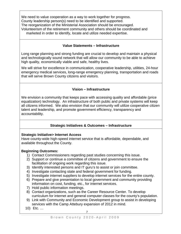We need to value cooperation as a way to work together for progress. County leadership person(s) need to be identified and supported. The reorganization of the Ministerial Association should be encouraged. Volunteerism of the retirement community and others should be coordinated and marketed in order to identify, locate and utilize needed expertise.

#### **Value Statements – Infrastructure**

Long range planning and strong funding are crucial to develop and maintain a physical and technologically sound network that will allow our community to be able to achieve high quality, economically viable and safe, healthy lives.

We will strive for excellence in communication, cooperative leadership, utilities, 24-hour emergency medical services, long-range emergency planning, transportation and roads that will serve Brown County citizens and visitors.

#### **Vision – Infrastructure**

We envision a community that keeps pace with accessing quality and affordable (price equalization) technology. An infrastructure of both public and private systems will keep all citizens informed. We also envision that our community will utilize cooperative citizen talent and leadership, and promote government efficiency, transparency and accountability.

#### **Strategic Initiatives & Outcomes – Infrastructure**

#### **Strategic Initiative> Internet Access**

Have county-wide high-speed internet service that is affordable, dependable, and available throughout the County.

#### **Beginning Outcomes:**

- 1) Contact Commissioners regarding past studies concerning this issue.
- 2) Support or continue a committee of citizens and government to ensure the facilitation of ongoing work regarding this issue.
- 3) Identify interested persons and IT guru's to assist or join committee.
- 4) Investigate contacting state and federal government for funding.
- 5) Investigate internet suppliers to develop internet services for the entire county.
- 6) Prepare and give presentation to local government and community providing information on cost, funding, etc., for internet services.
- 7) Hold public information meetings.
- 8) Contact organizations, such as the Career Resource Center. To develop curriculum for internet and general computer classes for the county's population.
- 9) Link with Community and Economic Development group to assist in developing services with the Camp Attebury expansion of 2012 in mind.
- 10) Etc. …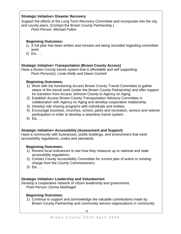#### **Strategic Initiative> Disaster Recovery**

Support the efforts of the Long Term Recovery Committee and incorporate into the city and county plans. (Contact the Brown County Partnership.)

*Point Person: Michael Fulton*

#### **Beginning Outcomes:**

- 1) A full plan has been written and minutes are being recorded regarding committee work.
- 2) Etc. …

#### **Strategic Initiative> Transportation (Brown County Access)**

Have a Brown County transit system that is affordable and self supporting. *Point Person(s): Linda Welty and Diane Cantrell*

#### **Beginning Outcomes:**

- 1) Work with the functioning Access Brown County Transit Committee to gather status of the transit work (under the Brown County Partnership) and offer support for transition from Access Johnson County to Agency on Aging.
- 2) Establish Access Brown County Transportation Advisory Committee in collaboration with Agency on Aging and develop cooperative relationship.
- 3) Develop ride sharing programs with individuals and entities.
- 4) Encourage business, churches, school, parks and recreation, seniors and veteran participation in order to develop a seamless transit system.
- 5) Etc. …

#### **Strategic Initiative> Accessibility (Assessment and Support)**

Have a community with businesses, public buildings, and environment that meet accessibility regulations, codes and standards.

#### **Beginning Outcomes:**

- 1) Review local ordinances to see how they measure up to national and state accessibility regulations.
- 2) Contact County Accessibility Committee for current plan of action or existing charge from the County Commissioners.
- 3) Etc. …

#### **Strategic Initiative> Leadership and Volunteerism**

Develop a cooperative network of citizen leadership and government. *Point Person: Donna Neidnagel*

#### **Beginning Outcomes:**

1) Continue to support and acknowledge the valuable contributions made by Brown County Partnership and community service organizations in community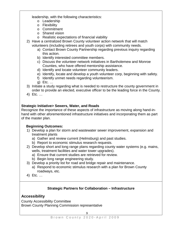leadership, with the following characteristics:

- o Leadership
- o Flexibility
- o Commitment
- o Shared vision
- o Realistic expectations of financial viability
- 2) Have a centralized Brown County volunteer action network that will match volunteers (including retirees and youth corps) with community needs.
	- a) Contact Brown County Partnership regarding previous inquiry regarding this action.
	- b) Identify interested committee members.
	- c) Discuss the volunteer network initiatives in Bartholemew and Monroe Counties, who have offered mentorship assistance.
	- d) Identify and locate volunteer community leaders.
	- e) Identify, locate and develop a youth volunteer corp, beginning with safety.
	- f) Identify unmet needs regarding volunteerism.
	- g) Etc. …
- 3) Initiate a study regarding what is needed to restructure the county government in order to provide an elected, executive officer to be the leading force in the County.
- 4) Etc. …

#### **Strategic Initiative> Sewers, Water, and Roads**

Recognize the importance of these aspects of infrastructure as moving along hand-inhand with other aforementioned infrastructure initiatives and incorporating them as part of the master plan.

#### **Beginning Outcomes:**

- 1) Develop a plan for storm and wastewater sewer improvement, expansion and treatment plants
	- a) Gather and review current (Helmsburg) and past studies.
	- b) Report to economic stimulus research requests.
- 2) Develop short and long range plans regarding county water systems (e.g. mains, wells, treatment facilities and water tower upgrades).
	- a) Ensure that current studies are retrieved for review.
	- b) Begin long range engineering study.
- 3) Develop a priority list for road and bridge repair and maintenance.
	- a) Respond to economic stimulus research with a plan for Brown County roadways, etc.
- 4) Etc. …

## **Strategic Partners for Collaboration – Infrastructure**

## **Accessibility**

County Accessibility Committee Brown County Planning Commission representative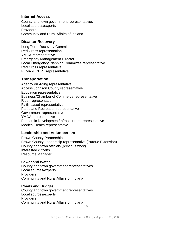#### **Internet Access**

County and town government representatives Local sources/experts **Providers** Community and Rural Affairs of Indiana

#### **Disaster Recovery**

Long Term Recovery Committee Red Cross representation YMCA representative Emergency Management Director Local Emergency Planning Committee representative Red Cross representative FEMA & CERT representative

#### **Transportation**

Agency on Aging representative Access Johnson County representative Education representative Business/Chamber of Commerce representative Rider representation Faith-based representative Parks and Recreation representative Government representative YMCA representative Economic Development/Infrastructure representative Medical/Health representative

#### **Leadership and Volunteerism**

Brown County Partnership Brown County Leadership representative (Purdue Extension) County and town officials (previous work) Interested citizens Resource Manager

#### **Sewer and Water**

County and town government representatives Local sources/experts Providers Community and Rural Affairs of Indiana

#### **Roads and Bridges**

County and town government representatives Local sources/experts **Providers** Community and Rural Affairs of Indiana 10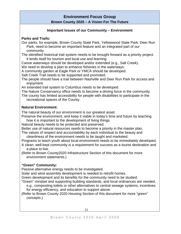## **Environment Focus Group**

**Brown County 2020 – A Vision For The Future**

#### **Important Issues of our Community – Environment**

#### **Parks and Trails:**

Our parks, for example, Brown County State Park, Yellowwood State Park, Deer Run Park, need to become an important feature and an integrated part of our community.

The identified historical trail system needs to be brought forward as a priority project. It lends itself for tourism and local use and learning.

Canoe waterways should be developed and/or extended (e.g., Salt Creek).

We need to develop a plan to enhance fisheries in the waterways.

A community garden at Eagle Park or YMCA should be developed.

Salt Creek Trail needs to be supported and promoted.

The people should have a trail between Nashville and Deer Run Park for access and enjoyment.

An extended trail system to Columbus needs to be developed.

The Nature Conservancy office needs to become a driving force in the community.

The county has limited accessibility for people with disabilities to participate in the recreational spaces of the County.

#### **Natural Environment:**

The natural beauty of our environment is our greatest asset.

Preserve the environment, and keep it viable in today's time and future by teaching how it is important to the development of living things.

Natural beauty needs to be protected and preserved.

Better use of natural resources needs to become a priority in the master plan.

The values of respect and accountability by each individual to the beauty and cleanliness of the environment needs to be taught and marketed.

Programs to teach youth about local environment needs to be immediately developed.

A clean, well-kept community is a requirement for success as a tourist destination and a place to live.

(Refer to Brown County2020 Infrastructure Section of this document for more environment statements.)

#### **"Green" Community:**

Passive alternative energy needs to be investigated.

Solar and wind assembly development is needed to retrofit homes.

Green development and its benefits for the community need to be studied.

"Green" mindset and supporting building standards, and local ordinances are needed,

 e.g., composting toilets or other alternatives to central sewage systems, incentives for energy efficiency, and education to support above.

(Refer to Brown County 2020 Housing Section of this document for more "green" concepts.)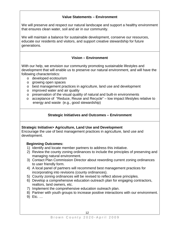#### **Value Statements – Environment**

We will preserve and respect our natural landscape and support a healthy environment that ensures clean water, soil and air in our community.

We will maintain a balance for sustainable development, conserve our resources, educate our residents and visitors, and support creative stewardship for future generations.

#### **Vision – Environment**

With our help, we envision our community promoting sustainable lifestyles and development that will enable us to preserve our natural environment, and will have the following characteristics:

- o developed ecotourism
- o growing open spaces
- o best management practices in agriculture, land use and development
- o improved water and air quality
- o preservation of the visual quality of natural and built-in environments
- o acceptance of "Reduce, Reuse and Recycle" low impact lifestyles relative to energy and waste (e.g., good stewardship)

#### **Strategic Initiatives and Outcomes – Environment**

#### **Strategic Initiative> Agriculture, Land Use and Development**

Encourage the use of best management practices in agriculture, land use and development.

#### **Beginning Outcomes:**

- 1) Identify and locate member partners to address this initiative.
- 2) Review the county zoning ordinances to include the principles of preserving and managing natural environment.
- 3) Contact Plan Commission Director about rewording current zoning ordinances to user friendly form.
- 4) A local panel of partners will recommend best management practices for incorporating into revisions (county ordinances).
- 5) County zoning ordinances will be revised to reflect above principles.
- 6) Develop a comprehensive education outreach plan for engaging contractors, realtors, land owners, etc.
- 7) Implement the comprehensive education outreach plan.
- 8) Partner with youth groups to increase positive interactions with our environment.
- 9) Etc. …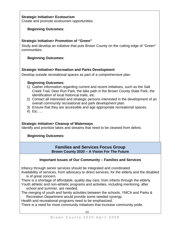#### **Strategic Initiative> Ecotourism**

Create and promote ecotourism opportunities.

#### **Beginning Outcomes:**

#### **Strategic Initiative> Promotion of "Green"**

Study and develop an initiative that puts Brown County on the cutting edge of "Green" communities.

#### **Beginning Outcomes:**

#### **Strategic Initiative> Recreation and Parks Development**

Develop outside recreational spaces as part of a comprehensive plan.

#### **Beginning Outcomes:**

- 1) Gather information regarding current and recent initiatives, such as the Salt Creek Trail, Deer Run Park, the bike path in the Brown County State Park, the identification of local historical trails, etc.
- 2) Contact all interested and strategic persons interested in the development of an overall community recreational and park development plan.
- 3) Ensure that they are accessible and age appropriate recreational spaces.
- 4) Etc. …

#### **Strategic Initiative> Cleanup of Waterways**

Identify and prioritize lakes and streams that need to be cleaned from debris.

#### **Beginning Outcomes:**

#### **Families and Services Focus Group Brown County 2020 – A Vision For The Future**

#### **Important Issues of Our Community – Families and Services**

Infancy through senior services should be integrated and coordinated.

Availability of services, from advocacy to direct services, for the elderly and the disabled is of great concern.

- There is a shortage of affordable, quality day care, from infants through the elderly.
- Youth athletic and non-athletic programs and activities, including mentoring, after school and summer, are needed.

The merging of youth and family activities between the schools, YMCA and Parks & Recreation Department would provide some needed synergy.

Health and recreational programs need to be emphasized.

There is a need for more community initiatives that increase community pride.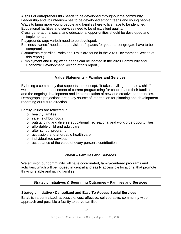A spirit of entrepreneurship needs to be developed throughout the community. Leadership and volunteerism has to be developed among teens and young people. Ways to bring more young people and families here to live have to be identified. Educational facilities and services need to be of excellent quality.

- Cross-generational social and educational opportunities should be developed and implemented.
- Playgrounds (age varied) need to be developed.
- Business owners' needs and provision of spaces for youth to congregate have to be compromised.
- (Comments regarding Parks and Trails are found in the 2020 Environment Section of this report.)
- (Employment and living wage needs can be located in the 2020 Community and Economic Development Section of this report.)

#### **Value Statements – Families and Services**

By being a community that supports the concept, "It takes a village to raise a child", we support the enhancement of current programming for children and their families and the ongoing development and implementation of new and creative opportunities. Demographic projections are a key source of information for planning and development regarding our future direction.

Family values are reflected in:

- o healthy families
- o safe neighborhoods
- o outstanding and diverse educational, recreational and workforce opportunities
- o affordable child and adult care
- o after school programs
- o accessible and affordable health care
- o individualized services
- o acceptance of the value of every person's contribution.

#### **Vision – Families and Services**

We envision our community will have coordinated, family-centered programs and activities, which will be housed in central and easily accessible locations, that promote thriving, stable and giving families.

#### **Strategic Initiatives & Beginning Outcomes – Families and Services**

#### **Strategic Initiative> Centralized and Easy To Access Social Services**

Establish a centralized, accessible, cost-effective, collaborative, community-wide approach and possible a facility to serve families.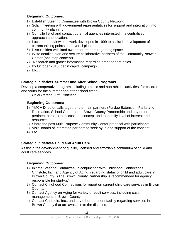#### **Beginning Outcomes:**

- 1) Establish Steering Committee with Brown County Network.
- 2) Solicit meeting with government representatives for support and integration into community planning.
- 3) Compile list of and contact potential agencies interested in a centralized approach and location.
- 4) Locate and review past work developed in 1999 to assist in development of current talking points and overall plan.
- 5) Discuss idea with land owners or realtors regarding space.
- 6) Write detailed plan and secure collaborative partners of the Community Network Center (one stop concept).
- 7) Research and gather information regarding grant opportunities.
- 8) By October 2010, begin capital campaign.
- 9) Etc. …

#### **Strategic Initiative> Summer and After School Programs**

Develop a cooperative program including athletic and non-athletic activities, for children and youth for the summer and after school times.

*Point Person: Kim Robinson*

#### **Beginning Outcomes:**

- 1) YMCA Director calls together the main partners (Purdue Extension, Parks and Recreation, School Corporation, Brown County Partnership and any other pertinent person) to discuss the concept and to identify level of interest and resources.
- 2) Share the past Multi-Purpose Community Center proposal with participants.
- 3) Visit Boards of interested partners to seek by-in and support of the concept.
- 4) Etc. …

#### **Strategic Initiative> Child and Adult Care**

Assist in the development of quality, licensed and affordable continuum of child and adult care services.

#### **Beginning Outcomes:**

- 1) Initiate Steering Committee, in conjunction with Childhood Connections, Christole, Inc., and Agency of Aging, regarding status of child and adult care in Brown County. (The Brown County Partnership is recommended for agency responsible for start-up).
- 2) Contact Childhood Connections for report on current child care services in Brown County.
- 3) Contact Agency on Aging for variety of adult services, including case management, in Brown County.
- 4) Contact Christole, Inc., and any other pertinent facility regarding services in Brown County that are available to the disabled.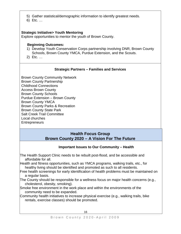- 5) Gather statistical/demographic information to identify greatest needs.
- 6) Etc. …

#### **Strategic Initiative> Youth Mentoring**

Explore opportunities to mentor the youth of Brown County.

#### **Beginning Outcomes:**

- 1) Develop Youth Conservation Corps partnership involving DNR, Brown County Schools, Brown County YMCA, Purdue Extension, and the Scouts.
- 2) Etc. …

#### **Strategic Partners – Families and Services**

Brown County Community Network Brown County Partnership Childhood Connections Access Brown County Brown County Schools Purdue Extension – Brown County Brown County YMCA Brown County Parks & Recreation Brown County State Park Salt Creek Trail Committee Local churches **Entrepreneurs** 

#### **Health Focus Group Brown County 2020 – A Vision For The Future**

#### **Important Issues to Our Community – Health**

The Health Support Clinic needs to be rebuilt post-flood, and be accessible and affordable for all.

Health and fitness opportunities, such as YMCA programs, walking trails, etc., for healthy living should be identified and promoted as such to all residents.

- Free health screenings for early identification of health problems must be maintained on a regular basis.
- The County should be responsible for a wellness focus on major health concerns (e.g., cholesterol, obesity, smoking).
- Smoke free environment in the work place and within the environments of the community need to be expanded.

Community health initiatives to increase physical exercise (e.g., walking trails, bike rentals, exercise classes) should be promoted.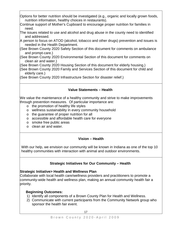Options for better nutrition should be investigated (e.g., organic and locally grown foods, nutrition information, healthy choices in restaurants).

- Continue support of Mother's Cupboard to encourage proper nutrition for families in need.
- The issues related to use and alcohol and drug abuse in the county need to identified and addressed.
- A person to focus on ATOD (alcohol, tobacco and other drugs) prevention and issues is needed in the Health Department.
- (See Brown County 2020 Safety Section of this document for comments on ambulance and prompt-care.)
- (See Brown County 2020 Environmental Section of this document for comments on clean air and water.)

(See Brown County 2020 Housing Section of this document for elderly housing.)

(See Brown County 2020 Family and Services Section of this document for child and elderly care.)

(See Brown County 2020 Infrastructure Section for disaster relief.)

## **Value Statements – Health**

We value the maintenance of a healthy community and strive to make improvements through prevention measures. Of particular importance are:

- o the promotion of healthy life styles
- o wellness sustainability in every community household
- o the guarantee of proper nutrition for all
- o accessible and affordable health care for everyone
- o smoke free public areas
- o clean air and water.

## **Vision – Health**

With our help, we envision our community will be known in Indiana as one of the top 10 healthy communities with interaction with animal and outdoor environments.

## **Strategic Initiatives for Our Community – Health**

## **Strategic Initiative> Health and Wellness Plan**

Collaborate with local health care/wellness providers and practitioners to promote a community-wide health and wellness plan, making an annual community health fair a priority.

## **Beginning Outcomes:**

- 1) Identify all components of a Brown County Plan for Health and Wellness.
- 2) Communicate with current participants from the Community Network group who sponsor the health fair event.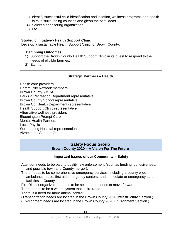- 3) Identify successful child identification and location, wellness programs and health fairs in surrounding counties and glean the best ideas.
- 4) Select a sponsoring organization.
- 5) Etc. …

#### **Strategic Initiative> Health Support Clinic**

Develop a sustainable Health Support Clinic for Brown County.

#### **Beginning Outcomes:**

- 1) Support the Brown County Health Support Clinic in its quest to respond to the needs of eligible families.
- 2) Etc. …

#### **Strategic Partners – Health**

Health care providers Community Network members Brown County YMCA Parks & Recreation Department representative Brown County School representative Brown Co. Health Department representative Health Support Clinic representative Alternative wellness providers Bloomington Prompt Care Mental Health Partners Local Physicians Surrounding Hospital representation Alzheimer's Support Group

#### **Safety Focus Group Brown County 2020 – A Vision For The Future**

#### **Important Issues of our Community – Safety**

Attention needs to be paid to quality law enforcement (such as funding, cohesiveness, and possible town and County merger).

There needs to be comprehensive emergency services, including a county wide ambulance base, first aid emergency centers, and immediate or emergency care facilities in County.

Fire District organization needs to be settled and needs to move forward.

There needs to be a water system that is fire rated.

There is a need for more animal control.

(Transportation needs are located in the Brown County 2020 Infrastructure Section.) (Environment needs are located in the Brown County 2020 Environment Section.)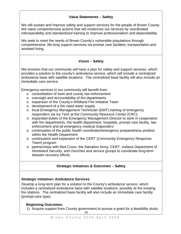#### **Value Statements – Safety**

We will sustain and improve safety and support services for the people of Brown County. We value comprehensive actions that will modernize our services by coordinated interoperability and standardized training to improve professionalism and dependability.

We seek to meet the needs of Brown County's vulnerable populations through comprehensive, life-long support services via prompt care facilities, transportation and assisted living.

#### **Vision – Safety**

We envision that our community will have a plan for safety and support services, which provides a solution to the county's ambulance service, which will include a centralized ambulance base with satellite locations. The centralized base facility will also include an immediate care service.

Emergency services in our community will benefit from:

- o consolidation of town and county law enforcement
- o oversight and accountability of fire departments
- o expansion of the County's Wildland Fire Initiative Team
- o development of a fire rated water supply
- o local Emergency Management Technician (EMT) training of emergency responders via Ivy Tech at the Community Resource Center (CRC);
- o expanded duties of the Emergency Management Director to work in cooperation with fire departments, the health department, hospitals, prompt care facility, law enforcement and all emergency medical responders
- o continuation of the public health coordinator/emergency preparedness position within the Health Department
- o continuation and expansion of the CERT (Community Emergency Response Team) program
- o partnerships with Red Cross, the Salvation Army, CERT, Indiana Department of Homeland Security, and churches and service groups to coordinate long-term disaster recovery efforts.

#### **Strategic Initiatives & Outcomes – Safety**

#### **Strategic Initiative> Ambulance Services**

Develop a long-term plan for a solution to the County's ambulance service, which includes a centralized ambulance base with satellite locations, possibly at the existing fire stations. The centralized base facility will also include an immediate care facility (prompt-care type).

#### **Beginning Outcomes:**

1) Acquire support from County government to pursue a grant for a feasibility study.<br>19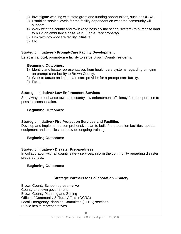- 2) Investigate working with state grant and funding opportunities, such as OCRA.
- 3) Establish service levels for the facility dependant on what the community will support.
- 4) Work with the county and town (and possibly the school system) to purchase land to build an ambulance base. (e.g., Eagle Park property).
- 5) Link with prompt-care facility initiative.
- 6) Etc…

#### **Strategic Initiatives> Prompt-Care Facility Development**

Establish a local, prompt-care facility to serve Brown County residents.

#### **Beginning Outcomes:**

- 1) Identify and locate representatives from health care systems regarding bringing an prompt-care facility to Brown County.
- 2) Work to attract an immediate care provider for a prompt-care facility.
- 3) Etc…

#### **Strategic Initiative> Law Enforcement Services**

Study ways to enhance town and county law enforcement efficiency from cooperation to possible consolidation.

#### **Beginning Outcomes:**

#### **Strategic Initiative> Fire Protection Services and Facilities**

Develop and implement a comprehensive plan to build fire protection facilities, update equipment and supplies and provide ongoing training.

#### **Beginning Outcomes:**

#### **Strategic Initiative> Disaster Preparedness**

In collaboration with all county safety services, inform the community regarding disaster preparedness.

#### **Beginning Outcomes:**

#### **Strategic Partners for Collaboration – Safety**

Brown County School representative County and town government Brown County Planning and Zoning Office of Community & Rural Affairs (OCRA) Local Emergency Planning Committee (LEPC) services Public health representatives<br>20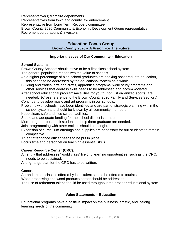Representative(s) from fire departments Representatives from town and county law enforcement Representative from Long Term Recovery committee Brown County 2020 Community & Economic Development Group representative Retirement corporations & investors

#### **Education Focus Group Brown County 2020 – A Vision For The Future**

#### **Important Issues of Our Community – Education**

#### **School System:**

Brown County Schools should strive to be a first class school system.

The general population recognizes the value of schools.

As a higher percentage of high school graduates are seeking post graduate education, this needs to be addressed by the educational system as a whole.

Building and trades, arts and crafts, apprentice programs, work study programs and other services that address skills needs to be addressed and accommodated.

After school educational programs/activities for youth (not just organized sports) are needed. (Cross reference to the Brown County 2020 Family and Services Section.)

Continue to develop music and art programs in our schools.

Problems with schools have been identified and are part of strategic planning within the school system and should be known by all community members.

Keep clean, safe and nice school facilities.

Stable and adequate funding for the school district is a must.

More programs for at-risk students to help them graduate are needed.

Joint programming with other entities should be sought.

Expansion of curriculum offerings and supplies are necessary for our students to remain competitive.

Truant/attendance officer needs to be put in place.

Focus time and personnel on teaching essential skills.

#### **Career Resource Center (CRC):**

An entity that addresses "world class" lifelong learning opportunities, such as the CRC, needs to be sustained.

A long-range plan for the CRC has to be written.

#### **General:**

Art and artisan classes offered by local talent should be offered to tourists. Wood processing and wood products center should be addressed. The use of retirement talent should be used throughout the broader educational system.

#### **Value Statements – Education**

Educational programs have a positive impact on the business, artistic, and lifelong learning needs of the community.

21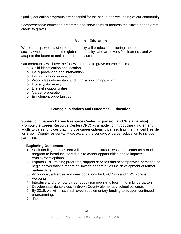Quality education programs are essential for the health and well-being of our community.

Comprehensive education programs and services must address the citizen needs (from cradle to grave).

#### **Vision – Education**

With our help, we envision our community will produce functioning members of our society who contribute to the global community, who are diversified learners, and who adapt to the future to make it better and succeed.

Our community will have the following cradle to grave characteristics:

- o Child identification and location
- o Early prevention and intervention
- o Early childhood education
- o World class elementary and high school programming
- o Literacy/Numeracy
- o Life skills opportunities
- o Career preparation
- o Enrichment opportunities

#### **Strategic Initiatives and Outcomes – Education**

#### **Strategic Initiative> Career Resource Center (Expansion and Sustainability)**

Promote the Career Resource Center (CRC) as a model for introducing children and adults to career choices that improve career options, thus resulting in enhanced lifestyle for Brown County residents. Also, expand the concept of career education to include parenting.

#### **Beginning Outcomes:**

- 1) Seek funding sources that will support the Career Resource Center as a model program to introduce individuals to career opportunities and to improve employment options.
- 2) Expand CRC training programs, support services and accompanying personnel to begin conversations regarding linkage opportunities the development of formal partnerships.
- 3) Announce , advertise and seek donations for CRC Now and CRC Forever Accounts.
- 4) Introduce and promote career education programs beginning in kindergarten.
- 5) Develop satellite services in Brown County elementary school buildings.
- 6) By 2015, we will…have achieved supplementary funding to support continued programming.
- 7) Etc. …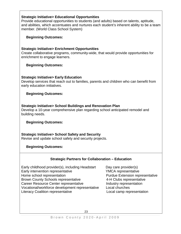#### **Strategic Initiative> Educational Opportunities**

Provide educational opportunities to students (and adults) based on talents, aptitude, and abilities, which accentuates and nurtures each student's inherent ability to be a team member. (World Class School System)

#### **Beginning Outcomes:**

#### **Strategic Initiative> Enrichment Opportunities**

Create collaborative programs, community-wide, that would provide opportunities for enrichment to engage learners.

#### **Beginning Outcomes:**

#### **Strategic Initiative> Early Education**

Develop services that reach out to families, parents and children who can benefit from early education initiatives.

#### **Beginning Outcomes:**

#### **Strategic Initiative> School Buildings and Renovation Plan**

Develop a 10-year comprehensive plan regarding school anticipated remodel and building needs.

#### **Beginning Outcomes:**

**Strategic Initiative> School Safety and Security** Revise and update school safety and security projects.

#### **Beginning Outcomes:**

#### **Strategic Partners for Collaboration – Education**

Early childhood provider(s), including Headstart Day care provider(s) Early intervention representative **Fig. 2018** YMCA representative Home school representation extension Purdue Extension representative Brown County Schools representative 4-H Clubs representative Career Resource Center representative Industry representation Vocational/workforce development representative Local churches Literacy Coalition representative Local camp representation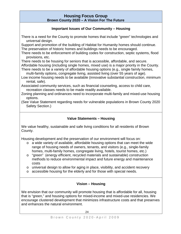#### **Housing Focus Group Brown County 2020 – A Vision For The Future**

#### **Important Issues of Our Community – Housing**

There is a need for the County to promote homes that include "green" technologies and universal design.

Support and promotion of the building of Habitat for Humanity homes should continue. The preservation of historic homes and buildings needs to be encouraged.

There needs to be enforcement of building codes for construction, septic systems, flood provisions, etc.

There needs to be housing for seniors that is accessible, affordable, and secure.

Affordable housing (including single homes, mixed use) is a major priority in the County. There needs to be a variety of affordable housing options (e.g., single family homes,

multi-family options, congregate living, assisted living (over 55 years of age).

Low income housing needs to be available (innovative substantial construction, minimum rental, safe).

Associated community services, such as financial counseling, access to child care, recreation classes needs to be made readily available.

Zoning planning and ordinances need to incorporate multi-family and mixed-use housing options.

(See Value Statement regarding needs for vulnerable populations in Brown County 2020 Safety Section.)

#### **Value Statements – Housing**

We value healthy, sustainable and safe living conditions for all residents of Brown County.

Housing development and the preservation of our environment will focus on:

- o a wide variety of available, affordable housing options that can meet the wide range of housing needs of owners, tenants, and visitors (e.g., single-family homes, multi-family homes, congregate living, hotels, tourist homes, etc.)
- o "green" (energy efficient, recycled materials and sustainable) construction methods to reduce environmental impact and future energy and maintenance costs
- o universal design to allow for aging in place, visibility, and accident recovery
- o accessible housing for the elderly and for those with special needs.

#### **Vision – Housing**

We envision that our community will promote housing that is affordable for all, housing that is "green," and housing options for mixed-income and mixed-use residencies. We encourage clustered development that minimizes infrastructure costs and that preserves and enhances the natural environment.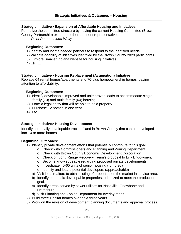#### **Strategic Initiatives & Outcomes – Housing**

#### **Strategic Initiative> Expansion of Affordable Housing and Initiatives**

Formalize the committee structure by having the current Housing Committee (Brown County Partnership) expand to other pertinent representatives.

*Point Person: Linda Welty*

#### **Beginning Outcomes:**

- 1) Identify and locate needed partners to respond to the identified needs.
- 2) Validate doability of initiatives identified by the Brown County 2020 participants.
- 3) Explore Smaller Indiana website for housing initiatives.
- 4) Etc. …

#### **Strategic Initiative> Housing Replacement (Acquisition) Initiative**

Replace 64 rental homes/apartments and 70-plus homeownership homes, paying attention to affordability.

#### **Beginning Outcomes:**

- 1) Identify developable improved and unimproved leads to accommodate single family (70) and multi-family (64) housing.
- 2) Form a legal entity that will be able to hold property.
- 3) Purchase 12 homes in one year.
- 4) Etc. …

#### **Strategic Initiative> Housing Development**

Identify potentially developable tracts of land in Brown County that can be developed into 10 or more homes.

#### **Beginning Outcomes:**

- 1) Identify private development efforts that potentially contribute to this goal.
	- o Check with Commissioners and Planning and Zoning Department
	- o Check with Brown County Economic Development Corporation
	- o Check on Long Range Recovery Team's proposal to Lilly Endowment
	- o Become knowledgeable regarding proposed private developments
	- o Investigate 40-60 units of senior housing (rumored)
	- o Identify and locate potential developers (approachable)
	- a) Visit local realtors to obtain listing of properties on the market in service area.
	- b) Identify one to six developable properties, prioritized to meet the production goal.
	- c) Identify areas served by sewer utilities for Nashville, Gnawbone and Helmsburg.
	- d) Visit Planning and Zoning Department for overlay maps.
- 2) Build three Habitat homes over next three years.
- 3) Work on the revision of development planning documents and approval process.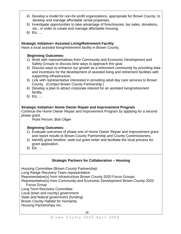- 4) Develop a model for non-for-profit organizations, appropriate for Brown County, to develop and manage affordable rental properties.
- 5) Investigate opportunities to take advantage of foreclosures, tax sales, donations, etc., in order to create and manage affordable housing.
- 6) Etc. …

#### **Strategic Initiative> Assisted Living/Retirement Facility**

Have a local assisted living/retirement facility in Brown County.

#### **Beginning Outcomes:**

- 1) Work with representatives from Community and Economic Development and Safety Groups to discuss best ways to approach this goal.
- 2) Discuss ways to enhance our growth as a retirement community by providing data and incentives for the development of assisted living and retirement facilities with supporting infrastructure.
- 3) Link with representative interested in providing adult day care services to Brown County. (Contact Brown County Partnership.)
- 4) Develop a plan to attract corporate interest for an assisted living/retirement facility.
- 5) Etc. …

#### **Strategic Initiative> Home Owner Repair and Improvement Program**

Continue the Home Owner Repair and Improvement Program by applying for a second phase grant.

*Point Person: Bob Oliger*

#### **Beginning Outcomes:**

- 1) Evaluate outcomes of phase one of Home Owner Repair and Improvement grant and report results to Brown County Partnership and County Commissioners.
- 2) Identify grant timeline, seek out grant writer and facilitate the local process for grant application.
- 3) Etc. …

#### **Strategic Partners for Collaboration – Housing**

Housing Committee (Brown County Partnership)

Long Range Recovery Team representative

Representative(s) from Infrastructure Brown County 2020 Focus Groups

Representative(s) from Community and Economic Development Brown County 2020 Focus Group

Long Term Recovery Committee

Local (town and county) government

State and federal government (funding)

Brown County Habitat for Humanity

Housing Partnerships Inc.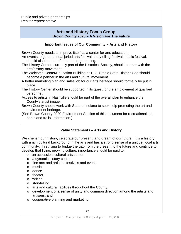Public and private partnerships Realtor representative

#### **Arts and History Focus Group Brown County 2020 – A Vision For The Future**

#### **Important Issues of Our Community – Arts and History**

Brown County needs to improve itself as a center for arts education.

Art events, e.g., an annual juried arts festival, storytelling festival, music festival, should also be part of the arts programming.

The History Center, currently part of the Historical Society, should partner with the arts/history movement.

The Welcome Center/Education Building at T. C. Steele State Historic Site should become a partner in the arts and cultural movement.

A better marketing plan and sales job for our arts heritage should formally be put in place.

The History Center should be supported in its quest for the employment of qualified personnel.

- Access to artists in Nashville should be part of the overall plan to enhance the County's artist image.
- Brown County should work with State of Indiana to seek help promoting the art and environment heritage.

(See Brown County 2020 Environment Section of this document for recreational, i.e. parks and trails, information.)

## **Value Statements – Arts and History**

We cherish our history, celebrate our present, and dream of our future. It is a history with a rich cultural background in the arts and has a strong sense of a unique, local arts community. In striving to bridge the gap from the present to the future and continue to develop that living, growing culture, importance should be paid to:

- o an accessible cultural arts center
- o a dynamic history center
- o fine arts and artisans festivals and events
- o music
- o dance
- o theater
- o writing
- o storytelling
- o arts and cultural facilities throughout the County,
- o development of a sense of unity and common direction among the artists and artisans, and
- o cooperative planning and marketing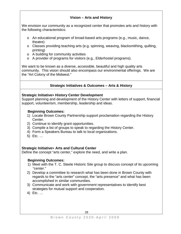#### **Vision – Arts and History**

We envision our community as a recognized center that promotes arts and history with the following characteristics:

- o An educational program of broad-based arts programs (e.g., music, dance, theatre)
- o Classes providing teaching arts (e.g. spinning, weaving, blacksmithing, quilting, printing)
- o A building for community activities
- o A provider of programs for visitors (e.g., Elderhostel programs).

We want to be known as a diverse, accessible, beautiful and high quality arts community. This vision should also encompass our environmental offerings. We are the "Art Colony of the Midwest."

#### **Strategic Initiatives & Outcomes – Arts & History**

#### **Strategic Initiative> History Center Development**

Support planning and development of the History Center with letters of support, financial support, volunteerism, membership, leadership and ideas.

#### **Beginning Outcomes:**

- 1) Locate Brown County Partnership support proclamation regarding the History Center.
- 2) Continue to identify grant opportunities.
- 3) Compile a list of groups to speak to regarding the History Center.
- 4) Form a Speakers Bureau to talk to local organizations.
- 5) Etc. …

#### **Strategic Initiative> Arts and Cultural Center**

Define the concept "arts center," explore the need, and write a plan.

#### **Beginning Outcomes:**

- 1) Meet with the T. C. Steele Historic Site group to discuss concept of its upcoming "center."
- 2) Develop a committee to research what has been done in Brown County with regards to the "arts center" concept, the "arts presence" and what has been accomplished in similar communities.
- 3) Communicate and work with government representatives to identify best strategies for mutual support and cooperation.
- 4) Etc. …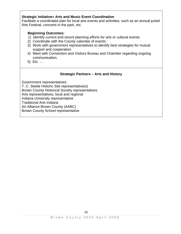#### **Strategic Initiative> Arts and Music Event Coordination**

Facilitate a coordinated plan for local arts events and activities, such as an annual juried Arts Festival, concerts in the park, etc.

#### **Beginning Outcomes:**

- 1) Identify current and recent planning efforts for arts or cultural events.
- 2) Coordinate with the County calendar of events.
- 3) Work with government representatives to identify best strategies for mutual support and cooperation.
- 4) Meet with Convention and Visitors Bureau and Chamber regarding ongoing communication.
- 5) Etc. …

#### **Strategic Partners – Arts and History**

Government representatives T. C. Steele Historic Site representative(s) Brown County Historical Society representatives Arts representatives, local and regional Indiana University representative Traditional Arts Indiana Art Alliance Brown County (AABC) Brown County School representative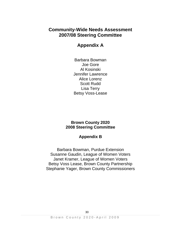## **Community-Wide Needs Assessment 2007/08 Steering Committee**

## **Appendix A**

Barbara Bowman Joe Gore Al Kosinski Jennifer Lawrence Alice Lorenz Scott Rudd Lisa Terry Betsy Voss-Lease

## **Brown County 2020 2008 Steering Committee**

## **Appendix B**

Barbara Bowman, Purdue Extension Susanne Gaudin, League of Women Voters Janet Kramer, League of Women Voters Betsy Voss Lease, Brown County Partnership Stephanie Yager, Brown County Commissioners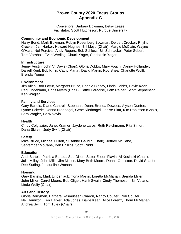## **Brown County 2020 Focus Groups Appendix C**

Convenors: Barbara Bowman, Betsy Lease Facilitator: Scott Hutcheson, Purdue University

#### **Community and Economic Development**

Harry Bond, Mark Bowman, Robyn Rosenberg Bowman, Delbert Crocker, Phyllis Crocker, Jan Harker, Howard Hughes, Bill Lloyd (Chair), Margie McClain, Wayne O'Hara, Nel Percival, Andy Rogers, Bob Schloss, Bill Schnackel, Peter Sebert, Tom Vornholt, Evan Werling, Chuck Yager, Stephanie Yager

#### **Infrastructure**

Jenny Austin, John V. Davis (Chair), Gloria Dobbs, Mary Fouch, Danny Hollander, Darrell Kent, Bob Kirlin, Cathy Martin, David Martin, Roy Shea, Charlotte Wolff, Brenda Young

#### **Environment**

Jim Allen, Bob Foyut, Margaret Bruce, Bonnie Closey, Linda Hobbs, Davie Kean, Peg Lindenlaub, Chris Myers (Chair), Cathy Paradise, Pam Raider, Scott Stephenson, Ken Wagler

#### **Family and Services**

Gary Bartels, Diane Cantrell, Stephanie Dean, Brenda Dewees, Alyson Dunfee, Lynne Eckerle, Donna Niednagel, Gene Niednagel, Jenise Platt, Kim Robinson (Chair), Sara Wagler, Ed Wojdyla

#### **Health**

Cindy Colglazier, Janet Kramer, Jaydene Laros, Ruth Reichmann, Rita Simon, Dana Skirvin, Judy Swift (Chair)

#### **Safety**

Mike Bruce, Michael Fulton, Susanne Gaudin (Chair), Jeffrey McCabe, September McCabe, Ben Phillips, Scott Rudd

#### **Education**

Andi Bartels, Patricia Bartels, Sue Dillon, Sister Eileen Flavin, Al Kosinski (Chair), Julie Milloy, John Mills, Jim Milnes, Mary Beth Moore, Donna Ormiston, David Shaffer, Dee Suding, Jacqueline Watson

#### **Housing**

Gary Bartels, Mark Lindenlaub, Tona Martin, Loretta McMahan, Brenda Miller, John Miller, Carrel Moore, Bob Oliger, Hank Swain, Cindy Thompson, Bill Voland, Linda Welty (Chair)

#### **Arts and History**

Gloria Berryman, Barbara Rasmussen Charon, Nancy Coulter, Rob Coulter, Nel Hamilton, Ken Harker, Ada Jones, Davie Kean, Alice Lorenz, Thom McMahan, Andrea Swift, Tom Tuley (Chair)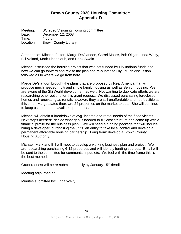## **Brown County 2020 Housing Committee Appendix D**

Meeting: BC 2020 Visioning Housing committee Date: December 12, 2008 Time: 4:00 p.m.<br>Location: Brown Co Brown County Library

Attendance: Michael Fulton, Marge DeGlandon, Carrel Moore, Bob Oliger, Linda Welty, Bill Voland, Mark Lindenlaub, and Hank Swain.

Michael discussed the housing project that was not funded by Lily Indiana funds and how we can go forward and revise the plan and re-submit to Lily. Much discussion followed as to where we go from here.

Marge DeGlandon brought the plans that are proposed by Real America that will produce much needed multi and single family housing as well as Senior housing. We are aware of the Ski World development as well. Not wanting to duplicate efforts we are researching other options for this grant request. We discussed purchasing foreclosed homes and renovating as rentals however, they are still unaffordable and not feasible at this time. Marge stated there are 24 properties on the market to date. She will continue to keep us updated on available properties.

Michael will obtain a breakdown of avg. income and rental needs of the flood victims. Next steps needed: decide what gap is needed to fill; cost structure and come up with a financial profile for the business plan. We will need a funding package that will include hiring a developer, purchasing the units, an entity to take local control and develop a permanent affordable housing partnership. Long term: develop a Brown County Housing Authority.

Michael, Mark and Bill will meet to develop a working business plan and project. We are researching purchasing 6-12 properties and will identify funding sources. Email will be sent to the committee for comments, input, etc. We feel with the time frame this is the best method.

Grant request will be re-submitted to Lily by January 15<sup>th</sup> deadline.

Meeting adjourned at 5:30

Minutes submitted by: Linda Welty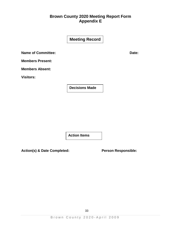## **Brown County 2020 Meeting Report Form Appendix E**

|                           | <b>Meeting Record</b> |       |
|---------------------------|-----------------------|-------|
| <b>Name of Committee:</b> |                       | Date: |
| <b>Members Present:</b>   |                       |       |
| <b>Members Absent:</b>    |                       |       |
| <b>Visitors:</b>          |                       |       |
|                           | <b>Decisions Made</b> |       |

**Action Items**

**Action(s) & Date Completed: Person Responsible:**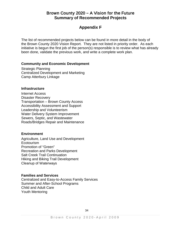## Brown County 2020 **–** A Vision for the Future **Summary of Recommended Projects**

## **Appendix F**

The list of recommended projects below can be found in more detail in the body of the Brown County 2020 Vision Report. They are not listed in priority order. As each initiative is begun the first job of the person(s) responsible is to review what has already been done, validate the previous work, and write a complete work plan.

#### **Community and Economic Development**

Strategic Planning Centralized Development and Marketing Camp Atterbury Linkage

#### **Infrastructure**

Internet Access Disaster Recovery Transportation – Brown County Access Accessibility Assessment and Support Leadership and Volunteerism Water Delivery System Improvement Sewers, Septic, and Wastewater Roads/Bridges Repair and Maintenance

#### **Environment**

Agriculture, Land Use and Development Ecotourism Promotion of "Green" Recreation and Parks Development Salt Creek Trail Continuation Hiking and Biking Trail Development Cleanup of Waterways

#### **Families and Services**

Centralized and Easy-to-Access Family Services Summer and After-School Programs Child and Adult Care Youth Mentoring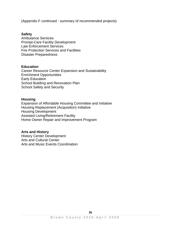(Appendix F continued - summary of recommended projects)

#### **Safety**

Ambulance Services Prompt-Care Facility Development Law Enforcement Services Fire Protection Services and Facilities Disaster Preparedness

#### **Education**

Career Resource Center Expansion and Sustainability Enrichment Opportunities Early Education School Building and Renovation Plan School Safety and Security

#### **Housing**

Expansion of Affordable Housing Committee and Initiative Housing Replacement (Acquisition) Initiative Housing Development Assisted Living/Retirement Facility Home Owner Repair and Improvement Program

#### **Arts and History**

History Center Development Arts and Cultural Center Arts and Music Events Coordination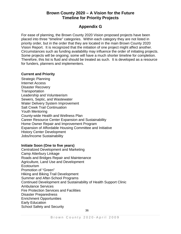## **Brown County 2020 – A Vision for the Future Timeline for Priority Projects**

## **Appendix G**

For ease of planning, the Brown County 2020 Vision proposed projects have been placed into three "timeline" categories. Within each category they are not listed in priority order, but in the order that they are located in the main Brown County 2020 Vision Report. It is recognized that the initiation of one project might affect another. Circumstances such as funding availability may influence the order of initiating projects. Some projects will be ongoing; some will have a much shorter timeline for completion. Therefore, this list is fluid and should be treated as such. It is developed as a resource for funders, planners and implementers.

#### **Current and Priority**

Strategic Planning Internet Access Disaster Recovery **Transportation** Leadership and Volunteerism Sewers, Septic, and Wastewater Water Delivery System Improvement Salt Creek Trail Continuation Youth Mentoring County-wide Health and Wellness Plan Career Resource Center Expansion and Sustainability Home Owner Repair and Improvement Program Expansion of Affordable Housing Committee and Initiative History Center Development Jobs/Income Sustainability

#### **Initiate Soon (One to five years)**

Centralized Development and Marketing Camp Atterbury Linkage Roads and Bridges Repair and Maintenance Agriculture, Land Use and Development Ecotourism Promotion of "Green" Hiking and Biking Trail Development Summer and After-School Programs Continued Development and Sustainability of Health Support Clinic Ambulance Services Fire Protection Services and Facilities Disaster Preparedness Enrichment Opportunities Early Education School Safety and Security 36 and 2012 and 2013 and 2014 and 2014 and 2014 and 2014 and 2014 and 2014 and 2014 and 2014 and 201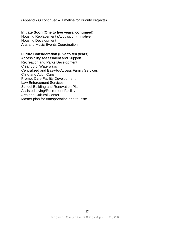(Appendix G continued – Timeline for Priority Projects)

#### **Initiate Soon (One to five years, continued)**

Housing Replacement (Acquisition) Initiative Housing Development Arts and Music Events Coordination

#### **Future Consideration (Five to ten years)**

Accessibility Assessment and Support Recreation and Parks Development Cleanup of Waterways Centralized and Easy-to-Access Family Services Child and Adult Care Prompt-Care Facility Development Law Enforcement Services School Building and Renovation Plan Assisted Living/Retirement Facility Arts and Cultural Center Master plan for transportation and tourism